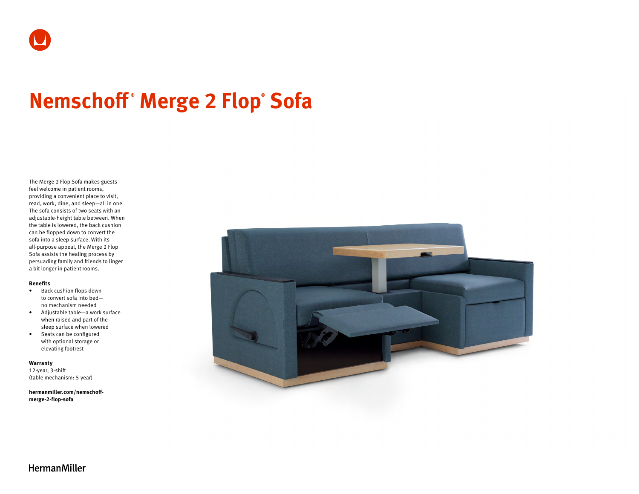# **Nemschoff ® Merge 2 Flop® Sofa**

The Merge 2 Flop Sofa makes guests feel welcome in patient rooms, providing a convenient place to visit, read, work, dine, and sleep—all in one. The sofa consists of two seats with an adjustable-height table between. When the table is lowered, the back cushion can be flopped down to convert the sofa into a sleep surface. With its all-purpose appeal, the Merge 2 Flop Sofa assists the healing process by persuading family and friends to linger a bit longer in patient rooms.

#### **Benefits**

- Back cushion flops down to convert sofa into bed no mechanism needed
- Adjustable table—a work surface when raised and part of the sleep surface when lowered
- Seats can be configured with optional storage or elevating footrest

#### **Warranty**

12-year, 3-shift (table mechanism: 5-year)

**[hermanmiller.com/nemschoff](http://hermanmiller.com/nemschoff-merge-2-flop-sofa)[merge-2-flop-sofa](http://hermanmiller.com/nemschoff-merge-2-flop-sofa)**